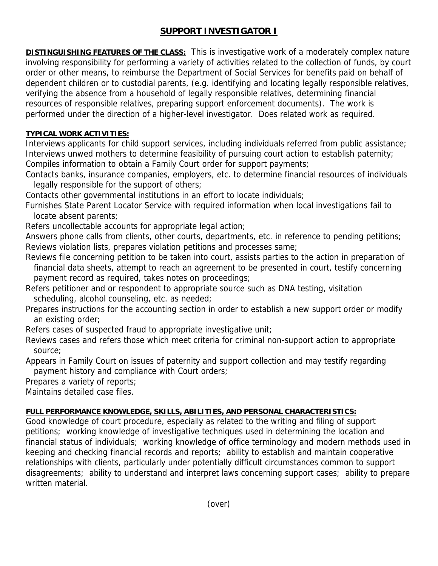# **SUPPORT INVESTIGATOR I**

**DISTINGUISHING FEATURES OF THE CLASS:** This is investigative work of a moderately complex nature involving responsibility for performing a variety of activities related to the collection of funds, by court order or other means, to reimburse the Department of Social Services for benefits paid on behalf of dependent children or to custodial parents, (e.g. identifying and locating legally responsible relatives, verifying the absence from a household of legally responsible relatives, determining financial resources of responsible relatives, preparing support enforcement documents). The work is performed under the direction of a higher-level investigator. Does related work as required.

### **TYPICAL WORK ACTIVITIES:**

Interviews applicants for child support services, including individuals referred from public assistance; Interviews unwed mothers to determine feasibility of pursuing court action to establish paternity; Compiles information to obtain a Family Court order for support payments;

Contacts banks, insurance companies, employers, etc. to determine financial resources of individuals legally responsible for the support of others;

Contacts other governmental institutions in an effort to locate individuals;

Furnishes State Parent Locator Service with required information when local investigations fail to locate absent parents;

Refers uncollectable accounts for appropriate legal action;

Answers phone calls from clients, other courts, departments, etc. in reference to pending petitions; Reviews violation lists, prepares violation petitions and processes same;

- Reviews file concerning petition to be taken into court, assists parties to the action in preparation of financial data sheets, attempt to reach an agreement to be presented in court, testify concerning payment record as required, takes notes on proceedings;
- Refers petitioner and or respondent to appropriate source such as DNA testing, visitation scheduling, alcohol counseling, etc. as needed;
- Prepares instructions for the accounting section in order to establish a new support order or modify an existing order;

Refers cases of suspected fraud to appropriate investigative unit;

Reviews cases and refers those which meet criteria for criminal non-support action to appropriate source;

Appears in Family Court on issues of paternity and support collection and may testify regarding payment history and compliance with Court orders;

Prepares a variety of reports;

Maintains detailed case files.

## **FULL PERFORMANCE KNOWLEDGE, SKILLS, ABILITIES, AND PERSONAL CHARACTERISTICS:**

Good knowledge of court procedure, especially as related to the writing and filing of support petitions; working knowledge of investigative techniques used in determining the location and financial status of individuals; working knowledge of office terminology and modern methods used in keeping and checking financial records and reports; ability to establish and maintain cooperative relationships with clients, particularly under potentially difficult circumstances common to support disagreements; ability to understand and interpret laws concerning support cases; ability to prepare written material.